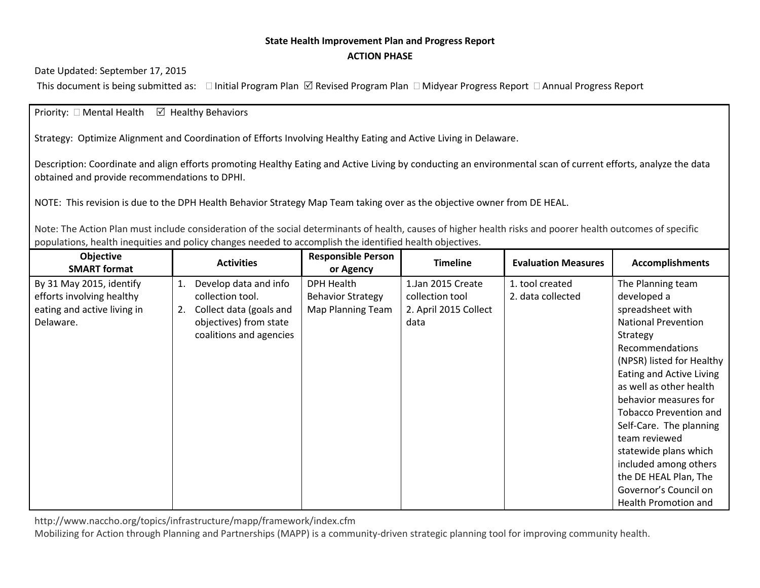## **State Health Improvement Plan and Progress Report ACTION PHASE**

Date Updated: September 17, 2015

This document is being submitted as:  $\Box$  Initial Program Plan  $\Box$  Revised Program Plan  $\Box$  Midyear Progress Report  $\Box$  Annual Progress Report

## Priority:  $\Box$  Mental Health  $\Box$  Healthy Behaviors

Strategy: Optimize Alignment and Coordination of Efforts Involving Healthy Eating and Active Living in Delaware.

Description: Coordinate and align efforts promoting Healthy Eating and Active Living by conducting an environmental scan of current efforts, analyze the data obtained and provide recommendations to DPHI.

NOTE: This revision is due to the DPH Health Behavior Strategy Map Team taking over as the objective owner from DE HEAL.

Note: The Action Plan must include consideration of the social determinants of health, causes of higher health risks and poorer health outcomes of specific populations, health inequities and policy changes needed to accomplish the identified health objectives.

| Objective<br><b>SMART format</b> |    | <b>Activities</b>       | <b>Responsible Person</b><br>or Agency | <b>Timeline</b>       | <b>Evaluation Measures</b> | <b>Accomplishments</b>        |
|----------------------------------|----|-------------------------|----------------------------------------|-----------------------|----------------------------|-------------------------------|
| By 31 May 2015, identify         | 1. | Develop data and info   | <b>DPH Health</b>                      | 1.Jan 2015 Create     | 1. tool created            | The Planning team             |
| efforts involving healthy        |    | collection tool.        | <b>Behavior Strategy</b>               | collection tool       | 2. data collected          | developed a                   |
| eating and active living in      | 2. | Collect data (goals and | Map Planning Team                      | 2. April 2015 Collect |                            | spreadsheet with              |
| Delaware.                        |    | objectives) from state  |                                        | data                  |                            | <b>National Prevention</b>    |
|                                  |    | coalitions and agencies |                                        |                       |                            | Strategy                      |
|                                  |    |                         |                                        |                       |                            | Recommendations               |
|                                  |    |                         |                                        |                       |                            | (NPSR) listed for Healthy     |
|                                  |    |                         |                                        |                       |                            | Eating and Active Living      |
|                                  |    |                         |                                        |                       |                            | as well as other health       |
|                                  |    |                         |                                        |                       |                            | behavior measures for         |
|                                  |    |                         |                                        |                       |                            | <b>Tobacco Prevention and</b> |
|                                  |    |                         |                                        |                       |                            | Self-Care. The planning       |
|                                  |    |                         |                                        |                       |                            | team reviewed                 |
|                                  |    |                         |                                        |                       |                            | statewide plans which         |
|                                  |    |                         |                                        |                       |                            | included among others         |
|                                  |    |                         |                                        |                       |                            | the DE HEAL Plan, The         |
|                                  |    |                         |                                        |                       |                            | Governor's Council on         |
|                                  |    |                         |                                        |                       |                            | Health Promotion and          |

http://www.naccho.org/topics/infrastructure/mapp/framework/index.cfm

Mobilizing for Action through Planning and Partnerships (MAPP) is a community-driven strategic planning tool for improving community health.